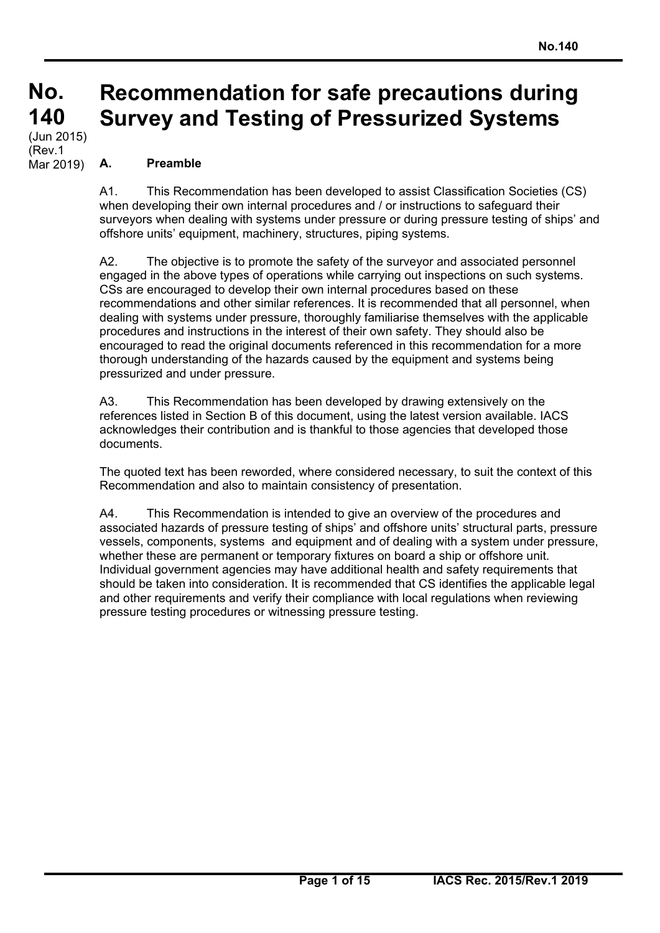#### **No. No. 140 140 Recommendation for safe precautions during Survey and Testing of Pressurized Systems**

(Jun 2015) (Rev.1 Mar 2019)

 $\overline{a}$ 

## **A. Preamble**

A1. This Recommendation has been developed to assist Classification Societies (CS) when developing their own internal procedures and / or instructions to safeguard their surveyors when dealing with systems under pressure or during pressure testing of ships' and offshore units' equipment, machinery, structures, piping systems.

A2. The objective is to promote the safety of the surveyor and associated personnel engaged in the above types of operations while carrying out inspections on such systems. CSs are encouraged to develop their own internal procedures based on these recommendations and other similar references. It is recommended that all personnel, when dealing with systems under pressure, thoroughly familiarise themselves with the applicable procedures and instructions in the interest of their own safety. They should also be encouraged to read the original documents referenced in this recommendation for a more thorough understanding of the hazards caused by the equipment and systems being pressurized and under pressure.

A3. This Recommendation has been developed by drawing extensively on the references listed in Section B of this document, using the latest version available. IACS acknowledges their contribution and is thankful to those agencies that developed those documents.

The quoted text has been reworded, where considered necessary, to suit the context of this Recommendation and also to maintain consistency of presentation.

A4. This Recommendation is intended to give an overview of the procedures and associated hazards of pressure testing of ships' and offshore units' structural parts, pressure vessels, components, systems and equipment and of dealing with a system under pressure, whether these are permanent or temporary fixtures on board a ship or offshore unit. Individual government agencies may have additional health and safety requirements that should be taken into consideration. It is recommended that CS identifies the applicable legal and other requirements and verify their compliance with local regulations when reviewing pressure testing procedures or witnessing pressure testing.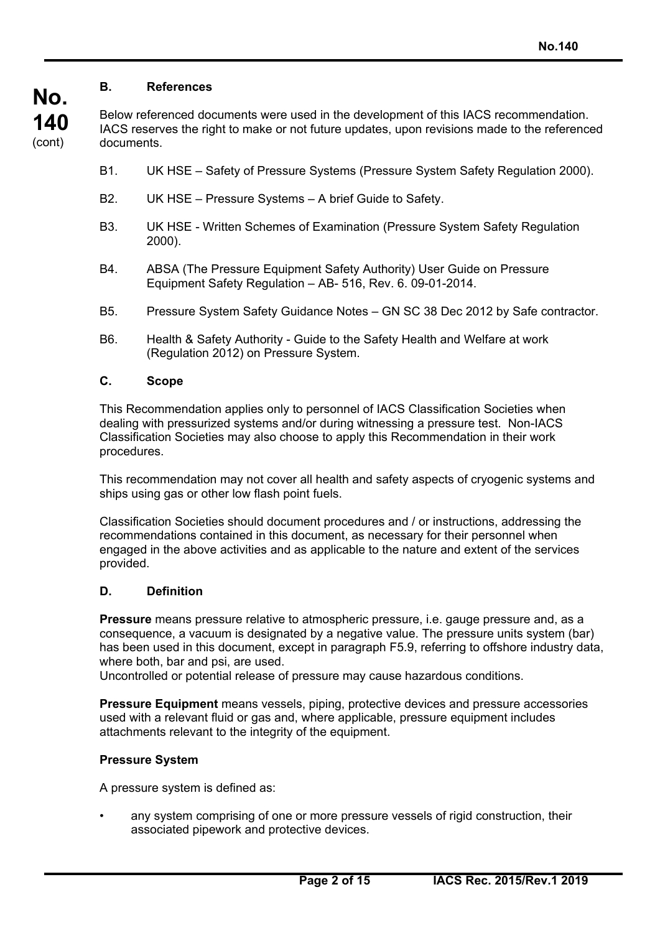## **B. References**

**No.** 

**140**  (cont)

Below referenced documents were used in the development of this IACS recommendation. IACS reserves the right to make or not future updates, upon revisions made to the referenced documents.

- B1. UK HSE Safety of Pressure Systems (Pressure System Safety Regulation 2000).
- B2. UK HSE Pressure Systems A brief Guide to Safety.
- B3. UK HSE Written Schemes of Examination (Pressure System Safety Regulation 2000).
- B4. ABSA (The Pressure Equipment Safety Authority) User Guide on Pressure Equipment Safety Regulation – AB- 516, Rev. 6. 09-01-2014.
- B5. Pressure System Safety Guidance Notes GN SC 38 Dec 2012 by Safe contractor.
- B6. Health & Safety Authority Guide to the Safety Health and Welfare at work (Regulation 2012) on Pressure System.

#### **C. Scope**

This Recommendation applies only to personnel of IACS Classification Societies when dealing with pressurized systems and/or during witnessing a pressure test. Non-IACS Classification Societies may also choose to apply this Recommendation in their work procedures.

This recommendation may not cover all health and safety aspects of cryogenic systems and ships using gas or other low flash point fuels.

Classification Societies should document procedures and / or instructions, addressing the recommendations contained in this document, as necessary for their personnel when engaged in the above activities and as applicable to the nature and extent of the services provided.

### **D. Definition**

**Pressure** means pressure relative to atmospheric pressure, i.e. gauge pressure and, as a consequence, a vacuum is designated by a negative value. The pressure units system (bar) has been used in this document, except in paragraph F5.9, referring to offshore industry data, where both, bar and psi, are used.

Uncontrolled or potential release of pressure may cause hazardous conditions.

**Pressure Equipment** means vessels, piping, protective devices and pressure accessories used with a relevant fluid or gas and, where applicable, pressure equipment includes attachments relevant to the integrity of the equipment.

### **Pressure System**

 $\overline{a}$ 

A pressure system is defined as:

• any system comprising of one or more pressure vessels of rigid construction, their associated pipework and protective devices.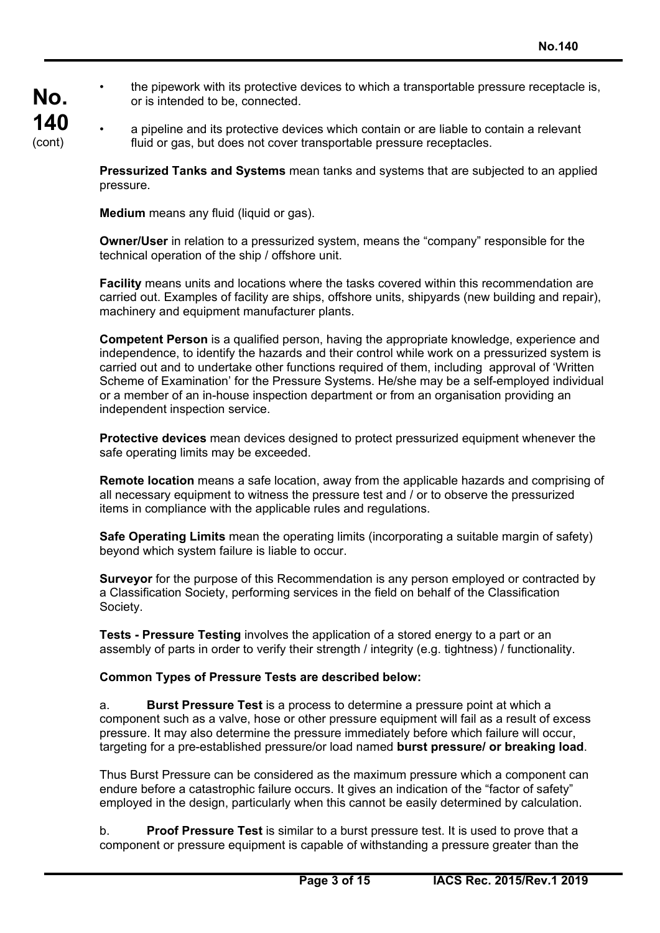- **No. 140**  • the pipework with its protective devices to which a transportable pressure receptacle is, or is intended to be, connected.
	- a pipeline and its protective devices which contain or are liable to contain a relevant fluid or gas, but does not cover transportable pressure receptacles.

**Pressurized Tanks and Systems** mean tanks and systems that are subjected to an applied pressure.

**Medium** means any fluid (liquid or gas).

(cont)

**Owner/User** in relation to a pressurized system, means the "company" responsible for the technical operation of the ship / offshore unit.

**Facility** means units and locations where the tasks covered within this recommendation are carried out. Examples of facility are ships, offshore units, shipyards (new building and repair), machinery and equipment manufacturer plants.

**Competent Person** is a qualified person, having the appropriate knowledge, experience and independence, to identify the hazards and their control while work on a pressurized system is carried out and to undertake other functions required of them, including approval of 'Written Scheme of Examination' for the Pressure Systems. He/she may be a self-employed individual or a member of an in-house inspection department or from an organisation providing an independent inspection service.

**Protective devices** mean devices designed to protect pressurized equipment whenever the safe operating limits may be exceeded.

**Remote location** means a safe location, away from the applicable hazards and comprising of all necessary equipment to witness the pressure test and / or to observe the pressurized items in compliance with the applicable rules and regulations.

**Safe Operating Limits** mean the operating limits (incorporating a suitable margin of safety) beyond which system failure is liable to occur.

**Surveyor** for the purpose of this Recommendation is any person employed or contracted by a Classification Society, performing services in the field on behalf of the Classification Society.

**Tests - Pressure Testing** involves the application of a stored energy to a part or an assembly of parts in order to verify their strength / integrity (e.g. tightness) / functionality.

### **Common Types of Pressure Tests are described below:**

 $\overline{a}$ 

a. **Burst Pressure Test** is a process to determine a pressure point at which a component such as a valve, hose or other pressure equipment will fail as a result of excess pressure. It may also determine the pressure immediately before which failure will occur, targeting for a pre-established pressure/or load named **burst pressure/ or breaking load**.

Thus Burst Pressure can be considered as the maximum pressure which a component can endure before a catastrophic failure occurs. It gives an indication of the "factor of safety" employed in the design, particularly when this cannot be easily determined by calculation.

b. **Proof Pressure Test** is similar to a burst pressure test. It is used to prove that a component or pressure equipment is capable of withstanding a pressure greater than the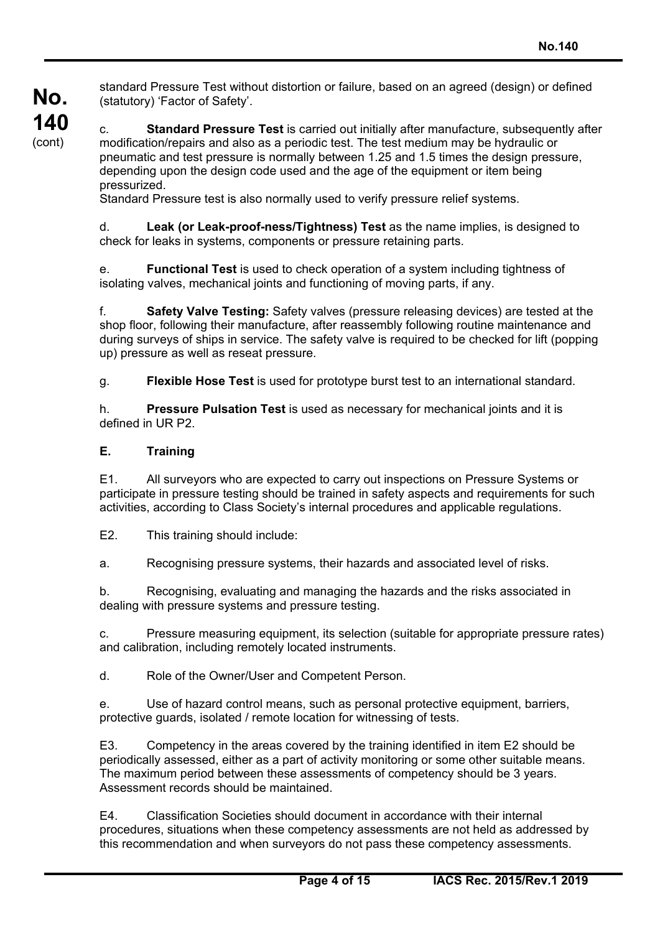standard Pressure Test without distortion or failure, based on an agreed (design) or defined (statutory) 'Factor of Safety'.

c. **Standard Pressure Test** is carried out initially after manufacture, subsequently after modification/repairs and also as a periodic test. The test medium may be hydraulic or pneumatic and test pressure is normally between 1.25 and 1.5 times the design pressure, depending upon the design code used and the age of the equipment or item being pressurized.

Standard Pressure test is also normally used to verify pressure relief systems.

d. **Leak (or Leak-proof-ness/Tightness) Test** as the name implies, is designed to check for leaks in systems, components or pressure retaining parts.

e. **Functional Test** is used to check operation of a system including tightness of isolating valves, mechanical joints and functioning of moving parts, if any.

f. **Safety Valve Testing:** Safety valves (pressure releasing devices) are tested at the shop floor, following their manufacture, after reassembly following routine maintenance and during surveys of ships in service. The safety valve is required to be checked for lift (popping up) pressure as well as reseat pressure.

g. **Flexible Hose Test** is used for prototype burst test to an international standard.

h. **Pressure Pulsation Test** is used as necessary for mechanical joints and it is defined in UR P2.

## **E. Training**

 $\overline{a}$ 

E1. All surveyors who are expected to carry out inspections on Pressure Systems or participate in pressure testing should be trained in safety aspects and requirements for such activities, according to Class Society's internal procedures and applicable regulations.

E2. This training should include:

a. Recognising pressure systems, their hazards and associated level of risks.

b. Recognising, evaluating and managing the hazards and the risks associated in dealing with pressure systems and pressure testing.

c. Pressure measuring equipment, its selection (suitable for appropriate pressure rates) and calibration, including remotely located instruments.

d. Role of the Owner/User and Competent Person.

e. Use of hazard control means, such as personal protective equipment, barriers, protective guards, isolated / remote location for witnessing of tests.

E3. Competency in the areas covered by the training identified in item E2 should be periodically assessed, either as a part of activity monitoring or some other suitable means. The maximum period between these assessments of competency should be 3 years. Assessment records should be maintained.

E4. Classification Societies should document in accordance with their internal procedures, situations when these competency assessments are not held as addressed by this recommendation and when surveyors do not pass these competency assessments.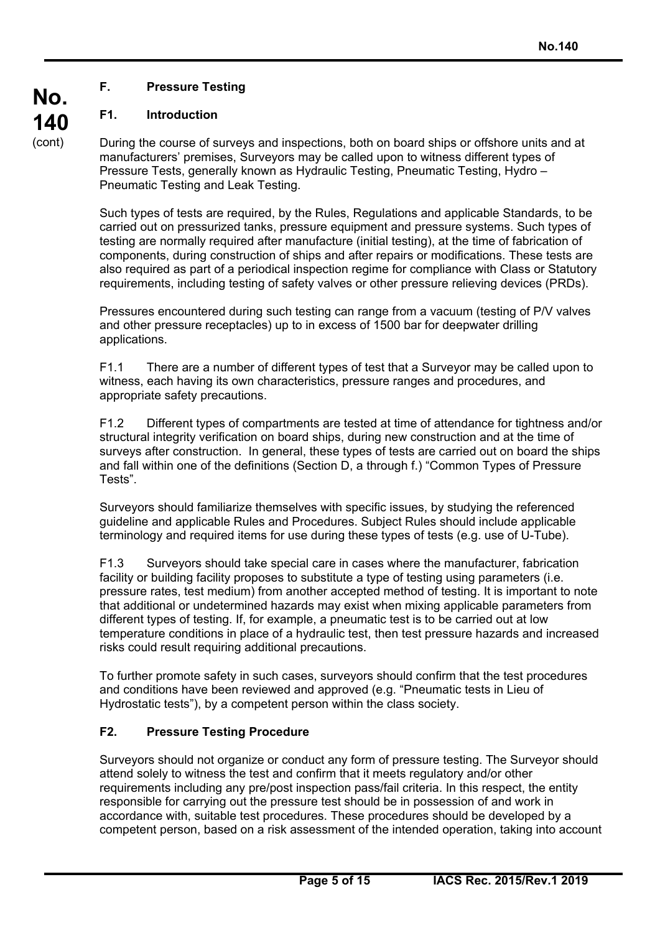# **F. Pressure Testing**

## **F1. Introduction**

During the course of surveys and inspections, both on board ships or offshore units and at manufacturers' premises, Surveyors may be called upon to witness different types of Pressure Tests, generally known as Hydraulic Testing, Pneumatic Testing, Hydro – Pneumatic Testing and Leak Testing.

Such types of tests are required, by the Rules, Regulations and applicable Standards, to be carried out on pressurized tanks, pressure equipment and pressure systems. Such types of testing are normally required after manufacture (initial testing), at the time of fabrication of components, during construction of ships and after repairs or modifications. These tests are also required as part of a periodical inspection regime for compliance with Class or Statutory requirements, including testing of safety valves or other pressure relieving devices (PRDs).

Pressures encountered during such testing can range from a vacuum (testing of P/V valves and other pressure receptacles) up to in excess of 1500 bar for deepwater drilling applications.

F1.1 There are a number of different types of test that a Surveyor may be called upon to witness, each having its own characteristics, pressure ranges and procedures, and appropriate safety precautions.

F1.2 Different types of compartments are tested at time of attendance for tightness and/or structural integrity verification on board ships, during new construction and at the time of surveys after construction. In general, these types of tests are carried out on board the ships and fall within one of the definitions (Section D, a through f.) "Common Types of Pressure Tests".

Surveyors should familiarize themselves with specific issues, by studying the referenced guideline and applicable Rules and Procedures. Subject Rules should include applicable terminology and required items for use during these types of tests (e.g. use of U-Tube).

F1.3 Surveyors should take special care in cases where the manufacturer, fabrication facility or building facility proposes to substitute a type of testing using parameters (i.e. pressure rates, test medium) from another accepted method of testing. It is important to note that additional or undetermined hazards may exist when mixing applicable parameters from different types of testing. If, for example, a pneumatic test is to be carried out at low temperature conditions in place of a hydraulic test, then test pressure hazards and increased risks could result requiring additional precautions.

To further promote safety in such cases, surveyors should confirm that the test procedures and conditions have been reviewed and approved (e.g. "Pneumatic tests in Lieu of Hydrostatic tests"), by a competent person within the class society.

## **F2. Pressure Testing Procedure**

 $\overline{a}$ 

Surveyors should not organize or conduct any form of pressure testing. The Surveyor should attend solely to witness the test and confirm that it meets regulatory and/or other requirements including any pre/post inspection pass/fail criteria. In this respect, the entity responsible for carrying out the pressure test should be in possession of and work in accordance with, suitable test procedures. These procedures should be developed by a competent person, based on a risk assessment of the intended operation, taking into account

**No. 140**  (cont)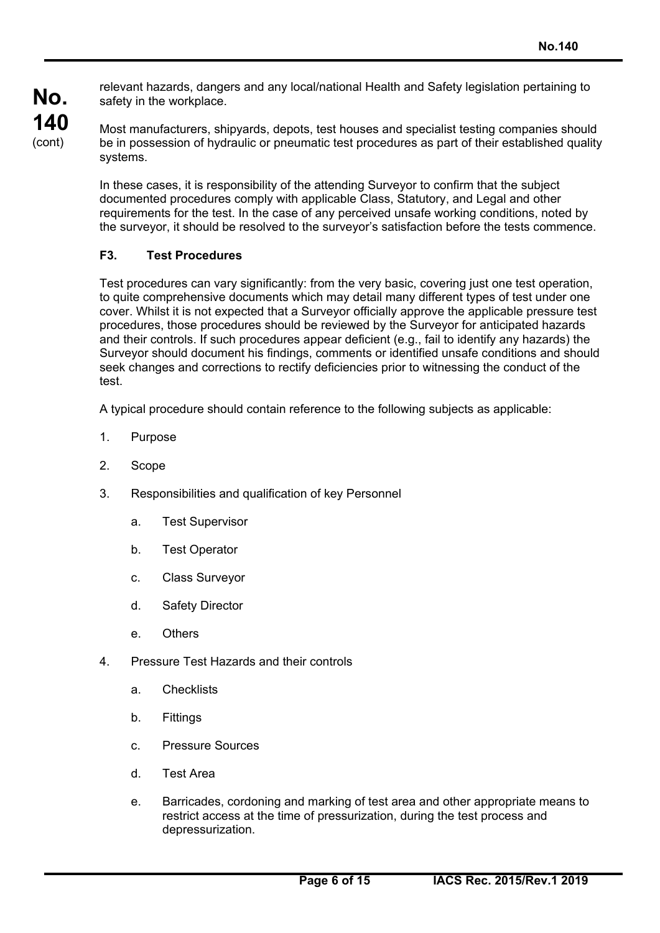relevant hazards, dangers and any local/national Health and Safety legislation pertaining to safety in the workplace.

Most manufacturers, shipyards, depots, test houses and specialist testing companies should be in possession of hydraulic or pneumatic test procedures as part of their established quality systems.

In these cases, it is responsibility of the attending Surveyor to confirm that the subject documented procedures comply with applicable Class, Statutory, and Legal and other requirements for the test. In the case of any perceived unsafe working conditions, noted by the surveyor, it should be resolved to the surveyor's satisfaction before the tests commence.

### **F3. Test Procedures**

Test procedures can vary significantly: from the very basic, covering just one test operation, to quite comprehensive documents which may detail many different types of test under one cover. Whilst it is not expected that a Surveyor officially approve the applicable pressure test procedures, those procedures should be reviewed by the Surveyor for anticipated hazards and their controls. If such procedures appear deficient (e.g., fail to identify any hazards) the Surveyor should document his findings, comments or identified unsafe conditions and should seek changes and corrections to rectify deficiencies prior to witnessing the conduct of the test.

A typical procedure should contain reference to the following subjects as applicable:

- 1. Purpose
- 2. Scope
- 3. Responsibilities and qualification of key Personnel
	- a. Test Supervisor
	- b. Test Operator
	- c. Class Surveyor
	- d. Safety Director
	- e. Others
- 4. Pressure Test Hazards and their controls
	- a. Checklists
	- b. Fittings
	- c. Pressure Sources
	- d. Test Area

 $\overline{a}$ 

 e. Barricades, cordoning and marking of test area and other appropriate means to restrict access at the time of pressurization, during the test process and depressurization.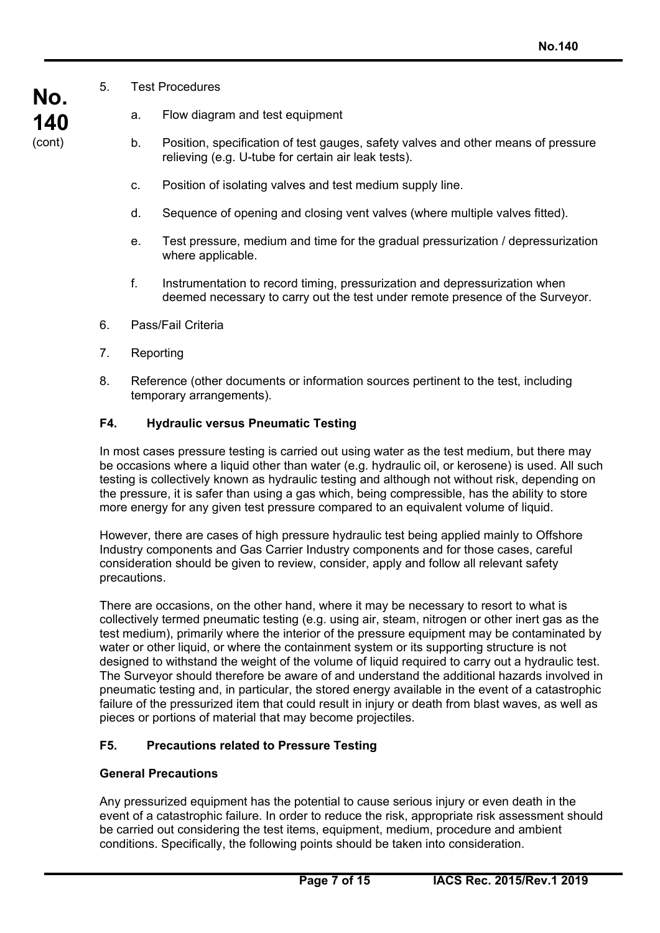- **No. 140**  (cont)
- 5. Test Procedures
	- a. Flow diagram and test equipment
	- b. Position, specification of test gauges, safety valves and other means of pressure relieving (e.g. U-tube for certain air leak tests).
	- c. Position of isolating valves and test medium supply line.
	- d. Sequence of opening and closing vent valves (where multiple valves fitted).
	- e. Test pressure, medium and time for the gradual pressurization / depressurization where applicable.
	- f. Instrumentation to record timing, pressurization and depressurization when deemed necessary to carry out the test under remote presence of the Surveyor.
- 6. Pass/Fail Criteria
- 7. Reporting
- 8. Reference (other documents or information sources pertinent to the test, including temporary arrangements).

### **F4. Hydraulic versus Pneumatic Testing**

In most cases pressure testing is carried out using water as the test medium, but there may be occasions where a liquid other than water (e.g. hydraulic oil, or kerosene) is used. All such testing is collectively known as hydraulic testing and although not without risk, depending on the pressure, it is safer than using a gas which, being compressible, has the ability to store more energy for any given test pressure compared to an equivalent volume of liquid.

However, there are cases of high pressure hydraulic test being applied mainly to Offshore Industry components and Gas Carrier Industry components and for those cases, careful consideration should be given to review, consider, apply and follow all relevant safety precautions.

There are occasions, on the other hand, where it may be necessary to resort to what is collectively termed pneumatic testing (e.g. using air, steam, nitrogen or other inert gas as the test medium), primarily where the interior of the pressure equipment may be contaminated by water or other liquid, or where the containment system or its supporting structure is not designed to withstand the weight of the volume of liquid required to carry out a hydraulic test. The Surveyor should therefore be aware of and understand the additional hazards involved in pneumatic testing and, in particular, the stored energy available in the event of a catastrophic failure of the pressurized item that could result in injury or death from blast waves, as well as pieces or portions of material that may become projectiles.

### **F5. Precautions related to Pressure Testing**

### **General Precautions**

 $\overline{a}$ 

Any pressurized equipment has the potential to cause serious injury or even death in the event of a catastrophic failure. In order to reduce the risk, appropriate risk assessment should be carried out considering the test items, equipment, medium, procedure and ambient conditions. Specifically, the following points should be taken into consideration.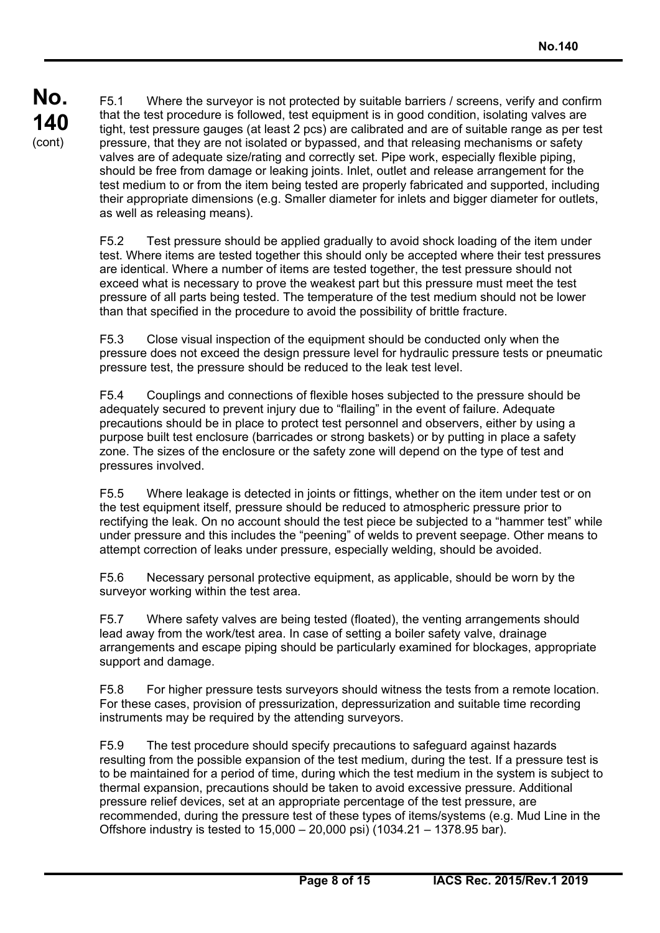$\overline{a}$ 

F5.1 Where the surveyor is not protected by suitable barriers / screens, verify and confirm that the test procedure is followed, test equipment is in good condition, isolating valves are tight, test pressure gauges (at least 2 pcs) are calibrated and are of suitable range as per test pressure, that they are not isolated or bypassed, and that releasing mechanisms or safety valves are of adequate size/rating and correctly set. Pipe work, especially flexible piping, should be free from damage or leaking joints. Inlet, outlet and release arrangement for the test medium to or from the item being tested are properly fabricated and supported, including their appropriate dimensions (e.g. Smaller diameter for inlets and bigger diameter for outlets, as well as releasing means).

F5.2 Test pressure should be applied gradually to avoid shock loading of the item under test. Where items are tested together this should only be accepted where their test pressures are identical. Where a number of items are tested together, the test pressure should not exceed what is necessary to prove the weakest part but this pressure must meet the test pressure of all parts being tested. The temperature of the test medium should not be lower than that specified in the procedure to avoid the possibility of brittle fracture.

F5.3 Close visual inspection of the equipment should be conducted only when the pressure does not exceed the design pressure level for hydraulic pressure tests or pneumatic pressure test, the pressure should be reduced to the leak test level.

F5.4 Couplings and connections of flexible hoses subjected to the pressure should be adequately secured to prevent injury due to "flailing" in the event of failure. Adequate precautions should be in place to protect test personnel and observers, either by using a purpose built test enclosure (barricades or strong baskets) or by putting in place a safety zone. The sizes of the enclosure or the safety zone will depend on the type of test and pressures involved.

F5.5 Where leakage is detected in joints or fittings, whether on the item under test or on the test equipment itself, pressure should be reduced to atmospheric pressure prior to rectifying the leak. On no account should the test piece be subjected to a "hammer test" while under pressure and this includes the "peening" of welds to prevent seepage. Other means to attempt correction of leaks under pressure, especially welding, should be avoided.

F5.6 Necessary personal protective equipment, as applicable, should be worn by the surveyor working within the test area.

F5.7 Where safety valves are being tested (floated), the venting arrangements should lead away from the work/test area. In case of setting a boiler safety valve, drainage arrangements and escape piping should be particularly examined for blockages, appropriate support and damage.

F5.8 For higher pressure tests surveyors should witness the tests from a remote location. For these cases, provision of pressurization, depressurization and suitable time recording instruments may be required by the attending surveyors.

F5.9 The test procedure should specify precautions to safeguard against hazards resulting from the possible expansion of the test medium, during the test. If a pressure test is to be maintained for a period of time, during which the test medium in the system is subject to thermal expansion, precautions should be taken to avoid excessive pressure. Additional pressure relief devices, set at an appropriate percentage of the test pressure, are recommended, during the pressure test of these types of items/systems (e.g. Mud Line in the Offshore industry is tested to 15,000 – 20,000 psi) (1034.21 – 1378.95 bar).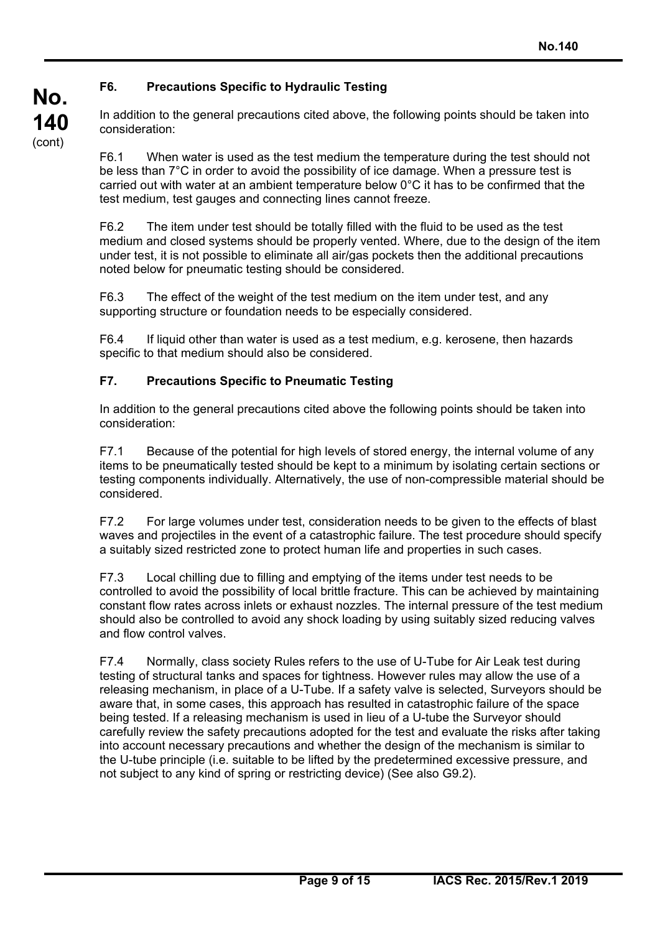## **F6. Precautions Specific to Hydraulic Testing**

In addition to the general precautions cited above, the following points should be taken into consideration:

F6.1 When water is used as the test medium the temperature during the test should not be less than 7°C in order to avoid the possibility of ice damage. When a pressure test is carried out with water at an ambient temperature below 0°C it has to be confirmed that the test medium, test gauges and connecting lines cannot freeze.

F6.2 The item under test should be totally filled with the fluid to be used as the test medium and closed systems should be properly vented. Where, due to the design of the item under test, it is not possible to eliminate all air/gas pockets then the additional precautions noted below for pneumatic testing should be considered.

F6.3 The effect of the weight of the test medium on the item under test, and any supporting structure or foundation needs to be especially considered.

F6.4 If liquid other than water is used as a test medium, e.g. kerosene, then hazards specific to that medium should also be considered.

### **F7. Precautions Specific to Pneumatic Testing**

In addition to the general precautions cited above the following points should be taken into consideration:

F7.1 Because of the potential for high levels of stored energy, the internal volume of any items to be pneumatically tested should be kept to a minimum by isolating certain sections or testing components individually. Alternatively, the use of non-compressible material should be considered.

F7.2 For large volumes under test, consideration needs to be given to the effects of blast waves and projectiles in the event of a catastrophic failure. The test procedure should specify a suitably sized restricted zone to protect human life and properties in such cases.

F7.3 Local chilling due to filling and emptying of the items under test needs to be controlled to avoid the possibility of local brittle fracture. This can be achieved by maintaining constant flow rates across inlets or exhaust nozzles. The internal pressure of the test medium should also be controlled to avoid any shock loading by using suitably sized reducing valves and flow control valves.

F7.4 Normally, class society Rules refers to the use of U-Tube for Air Leak test during testing of structural tanks and spaces for tightness. However rules may allow the use of a releasing mechanism, in place of a U-Tube. If a safety valve is selected, Surveyors should be aware that, in some cases, this approach has resulted in catastrophic failure of the space being tested. If a releasing mechanism is used in lieu of a U-tube the Surveyor should carefully review the safety precautions adopted for the test and evaluate the risks after taking into account necessary precautions and whether the design of the mechanism is similar to the U-tube principle (i.e. suitable to be lifted by the predetermined excessive pressure, and not subject to any kind of spring or restricting device) (See also G9.2).

 $\overline{a}$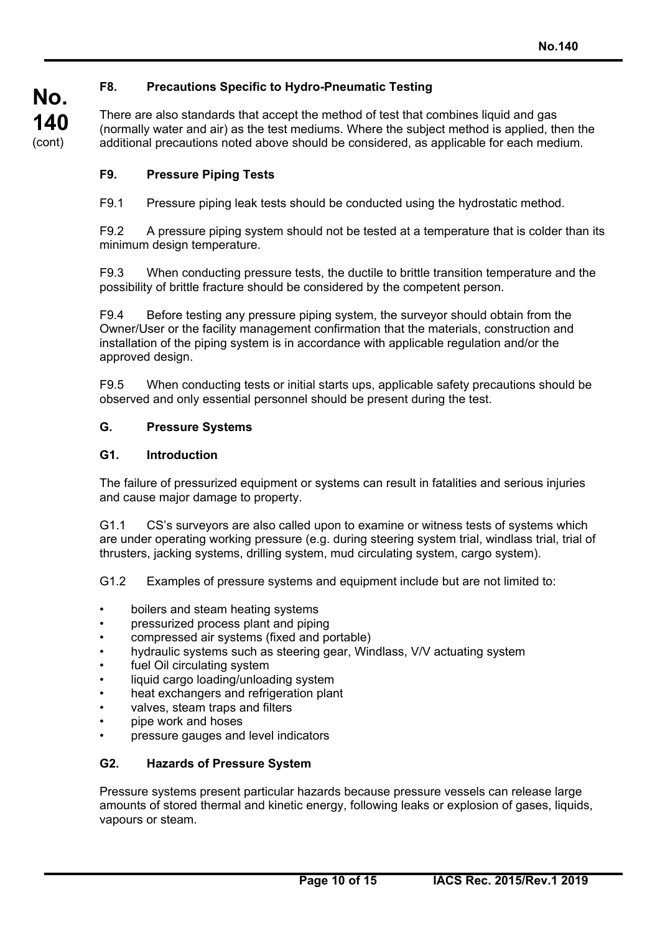## **F8. Precautions Specific to Hydro-Pneumatic Testing**

There are also standards that accept the method of test that combines liquid and gas (normally water and air) as the test mediums. Where the subject method is applied, then the additional precautions noted above should be considered, as applicable for each medium.

### **F9. Pressure Piping Tests**

F9.1 Pressure piping leak tests should be conducted using the hydrostatic method.

F9.2 A pressure piping system should not be tested at a temperature that is colder than its minimum design temperature.

F9.3 When conducting pressure tests, the ductile to brittle transition temperature and the possibility of brittle fracture should be considered by the competent person.

F9.4 Before testing any pressure piping system, the surveyor should obtain from the Owner/User or the facility management confirmation that the materials, construction and installation of the piping system is in accordance with applicable regulation and/or the approved design.

F9.5 When conducting tests or initial starts ups, applicable safety precautions should be observed and only essential personnel should be present during the test.

#### **G. Pressure Systems**

#### **G1. Introduction**

The failure of pressurized equipment or systems can result in fatalities and serious injuries and cause major damage to property.

G1.1 CS's surveyors are also called upon to examine or witness tests of systems which are under operating working pressure (e.g. during steering system trial, windlass trial, trial of thrusters, jacking systems, drilling system, mud circulating system, cargo system).

G1.2 Examples of pressure systems and equipment include but are not limited to:

- boilers and steam heating systems
- pressurized process plant and piping
- compressed air systems (fixed and portable)
- hydraulic systems such as steering gear, Windlass, V/V actuating system
- fuel Oil circulating system
- liquid cargo loading/unloading system
- heat exchangers and refrigeration plant
- valves, steam traps and filters
- pipe work and hoses

 $\overline{a}$ 

• pressure gauges and level indicators

### **G2. Hazards of Pressure System**

Pressure systems present particular hazards because pressure vessels can release large amounts of stored thermal and kinetic energy, following leaks or explosion of gases, liquids, vapours or steam.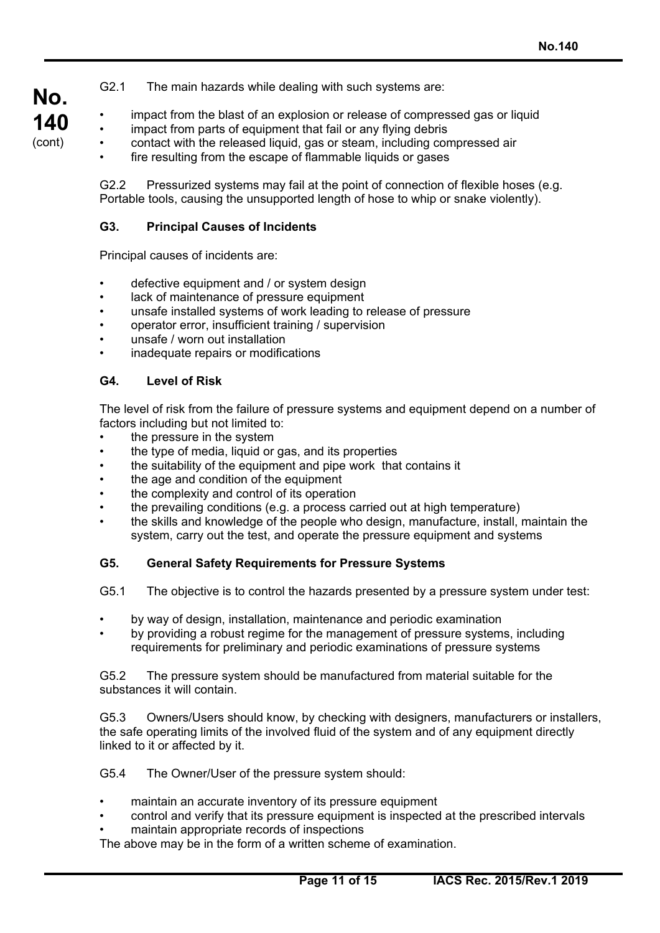- G2.1 The main hazards while dealing with such systems are:
- impact from the blast of an explosion or release of compressed gas or liquid
- impact from parts of equipment that fail or any flying debris
- contact with the released liquid, gas or steam, including compressed air
- fire resulting from the escape of flammable liquids or gases

G2.2 Pressurized systems may fail at the point of connection of flexible hoses (e.g. Portable tools, causing the unsupported length of hose to whip or snake violently).

### **G3. Principal Causes of Incidents**

Principal causes of incidents are:

- defective equipment and / or system design
- lack of maintenance of pressure equipment
- unsafe installed systems of work leading to release of pressure
- operator error, insufficient training / supervision
- unsafe / worn out installation
- inadequate repairs or modifications

### **G4. Level of Risk**

The level of risk from the failure of pressure systems and equipment depend on a number of factors including but not limited to:

- the pressure in the system
- the type of media, liquid or gas, and its properties
- the suitability of the equipment and pipe work that contains it
- the age and condition of the equipment
- the complexity and control of its operation
- the prevailing conditions (e.g. a process carried out at high temperature)
- the skills and knowledge of the people who design, manufacture, install, maintain the system, carry out the test, and operate the pressure equipment and systems

### **G5. General Safety Requirements for Pressure Systems**

- G5.1 The objective is to control the hazards presented by a pressure system under test:
- by way of design, installation, maintenance and periodic examination
- by providing a robust regime for the management of pressure systems, including requirements for preliminary and periodic examinations of pressure systems

G5.2 The pressure system should be manufactured from material suitable for the substances it will contain.

G5.3 Owners/Users should know, by checking with designers, manufacturers or installers, the safe operating limits of the involved fluid of the system and of any equipment directly linked to it or affected by it.

G5.4 The Owner/User of the pressure system should:

- maintain an accurate inventory of its pressure equipment
- control and verify that its pressure equipment is inspected at the prescribed intervals
- maintain appropriate records of inspections

 $\overline{a}$ 

The above may be in the form of a written scheme of examination.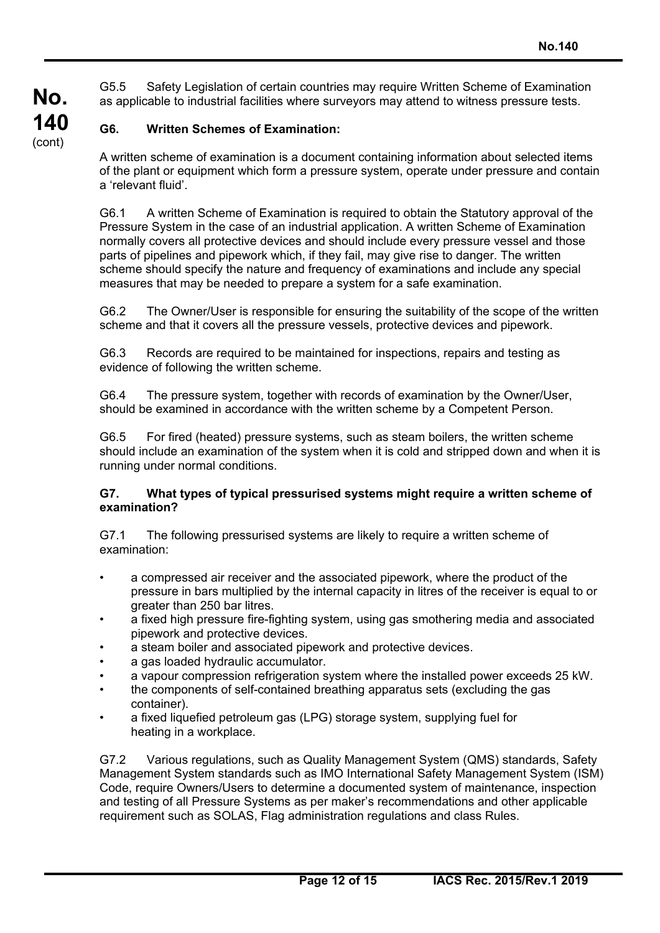G5.5 Safety Legislation of certain countries may require Written Scheme of Examination as applicable to industrial facilities where surveyors may attend to witness pressure tests.

## **G6. Written Schemes of Examination:**

A written scheme of examination is a document containing information about selected items of the plant or equipment which form a pressure system, operate under pressure and contain a 'relevant fluid'.

G6.1 A written Scheme of Examination is required to obtain the Statutory approval of the Pressure System in the case of an industrial application. A written Scheme of Examination normally covers all protective devices and should include every pressure vessel and those parts of pipelines and pipework which, if they fail, may give rise to danger. The written scheme should specify the nature and frequency of examinations and include any special measures that may be needed to prepare a system for a safe examination.

G6.2 The Owner/User is responsible for ensuring the suitability of the scope of the written scheme and that it covers all the pressure vessels, protective devices and pipework.

G6.3 Records are required to be maintained for inspections, repairs and testing as evidence of following the written scheme.

G6.4 The pressure system, together with records of examination by the Owner/User, should be examined in accordance with the written scheme by a Competent Person.

G6.5 For fired (heated) pressure systems, such as steam boilers, the written scheme should include an examination of the system when it is cold and stripped down and when it is running under normal conditions.

### **G7. What types of typical pressurised systems might require a written scheme of examination?**

G7.1 The following pressurised systems are likely to require a written scheme of examination:

- a compressed air receiver and the associated pipework, where the product of the pressure in bars multiplied by the internal capacity in litres of the receiver is equal to or greater than 250 bar litres.
- a fixed high pressure fire-fighting system, using gas smothering media and associated pipework and protective devices.
- a steam boiler and associated pipework and protective devices.
- a gas loaded hydraulic accumulator.

 $\overline{a}$ 

- a vapour compression refrigeration system where the installed power exceeds 25 kW.
- the components of self-contained breathing apparatus sets (excluding the gas container).
- a fixed liquefied petroleum gas (LPG) storage system, supplying fuel for heating in a workplace.

G7.2 Various regulations, such as Quality Management System (QMS) standards, Safety Management System standards such as IMO International Safety Management System (ISM) Code, require Owners/Users to determine a documented system of maintenance, inspection and testing of all Pressure Systems as per maker's recommendations and other applicable requirement such as SOLAS, Flag administration regulations and class Rules.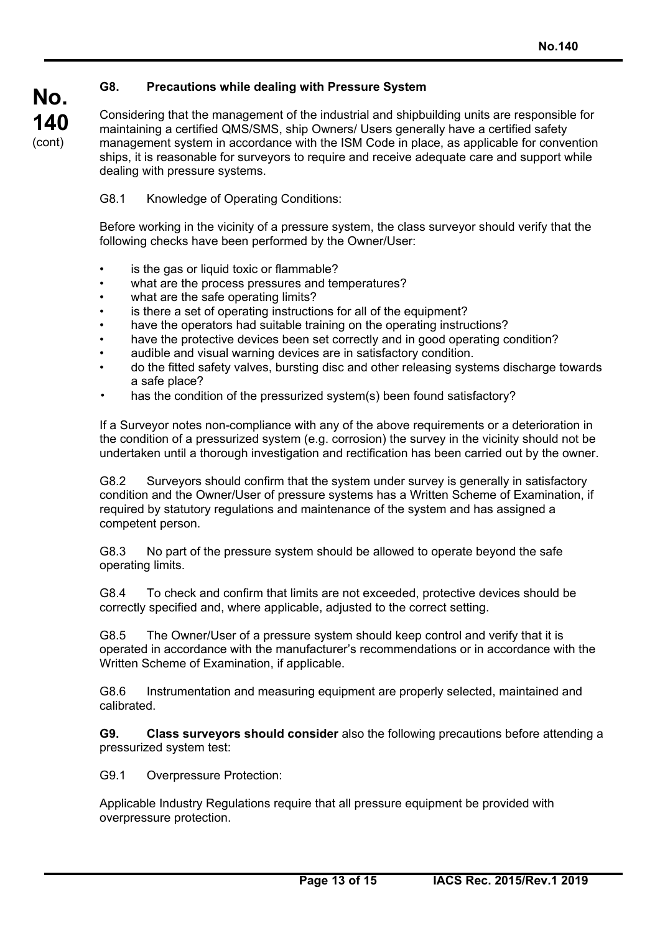### **G8. Precautions while dealing with Pressure System**

Considering that the management of the industrial and shipbuilding units are responsible for maintaining a certified QMS/SMS, ship Owners/ Users generally have a certified safety management system in accordance with the ISM Code in place, as applicable for convention ships, it is reasonable for surveyors to require and receive adequate care and support while dealing with pressure systems.

### G8.1 Knowledge of Operating Conditions:

Before working in the vicinity of a pressure system, the class surveyor should verify that the following checks have been performed by the Owner/User:

- is the gas or liquid toxic or flammable?
- what are the process pressures and temperatures?
- what are the safe operating limits?
- is there a set of operating instructions for all of the equipment?
- have the operators had suitable training on the operating instructions?
- have the protective devices been set correctly and in good operating condition?
- audible and visual warning devices are in satisfactory condition.
- do the fitted safety valves, bursting disc and other releasing systems discharge towards a safe place?
- has the condition of the pressurized system(s) been found satisfactory?

If a Surveyor notes non-compliance with any of the above requirements or a deterioration in the condition of a pressurized system (e.g. corrosion) the survey in the vicinity should not be undertaken until a thorough investigation and rectification has been carried out by the owner.

G8.2 Surveyors should confirm that the system under survey is generally in satisfactory condition and the Owner/User of pressure systems has a Written Scheme of Examination, if required by statutory regulations and maintenance of the system and has assigned a competent person.

G8.3 No part of the pressure system should be allowed to operate beyond the safe operating limits.

G8.4 To check and confirm that limits are not exceeded, protective devices should be correctly specified and, where applicable, adjusted to the correct setting.

G8.5 The Owner/User of a pressure system should keep control and verify that it is operated in accordance with the manufacturer's recommendations or in accordance with the Written Scheme of Examination, if applicable.

G8.6 Instrumentation and measuring equipment are properly selected, maintained and calibrated.

**G9. Class surveyors should consider** also the following precautions before attending a pressurized system test:

G9.1 Overpressure Protection:

 $\overline{a}$ 

Applicable Industry Regulations require that all pressure equipment be provided with overpressure protection.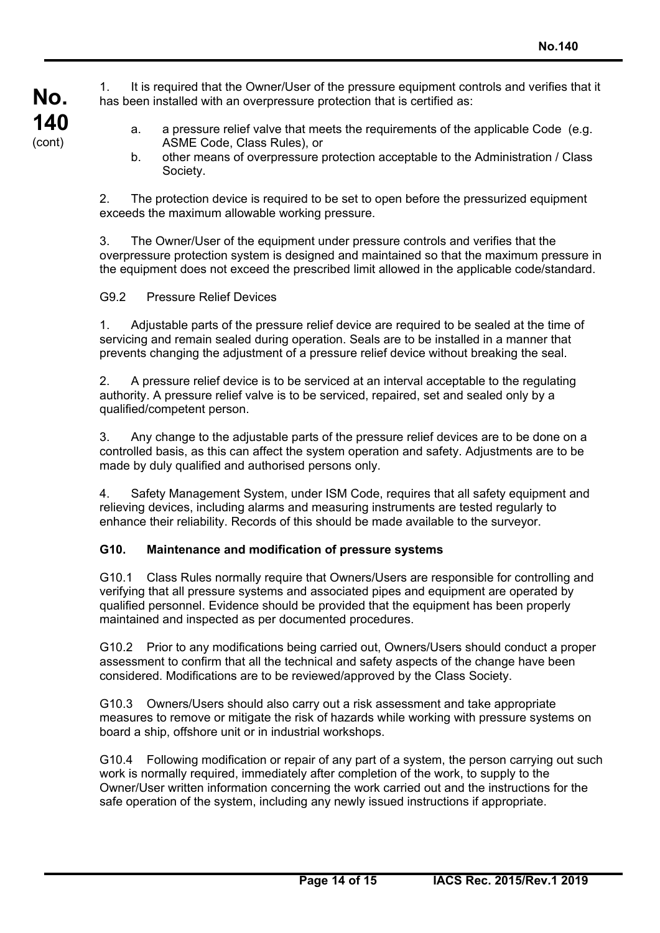1. It is required that the Owner/User of the pressure equipment controls and verifies that it has been installed with an overpressure protection that is certified as:

- a. a pressure relief valve that meets the requirements of the applicable Code (e.g. ASME Code, Class Rules), or
- b. other means of overpressure protection acceptable to the Administration / Class Society.

2. The protection device is required to be set to open before the pressurized equipment exceeds the maximum allowable working pressure.

3. The Owner/User of the equipment under pressure controls and verifies that the overpressure protection system is designed and maintained so that the maximum pressure in the equipment does not exceed the prescribed limit allowed in the applicable code/standard.

G9.2 Pressure Relief Devices

1. Adjustable parts of the pressure relief device are required to be sealed at the time of servicing and remain sealed during operation. Seals are to be installed in a manner that prevents changing the adjustment of a pressure relief device without breaking the seal.

2. A pressure relief device is to be serviced at an interval acceptable to the regulating authority. A pressure relief valve is to be serviced, repaired, set and sealed only by a qualified/competent person.

3. Any change to the adjustable parts of the pressure relief devices are to be done on a controlled basis, as this can affect the system operation and safety. Adjustments are to be made by duly qualified and authorised persons only.

4. Safety Management System, under ISM Code, requires that all safety equipment and relieving devices, including alarms and measuring instruments are tested regularly to enhance their reliability. Records of this should be made available to the surveyor.

### **G10. Maintenance and modification of pressure systems**

G10.1 Class Rules normally require that Owners/Users are responsible for controlling and verifying that all pressure systems and associated pipes and equipment are operated by qualified personnel. Evidence should be provided that the equipment has been properly maintained and inspected as per documented procedures.

G10.2 Prior to any modifications being carried out, Owners/Users should conduct a proper assessment to confirm that all the technical and safety aspects of the change have been considered. Modifications are to be reviewed/approved by the Class Society.

G10.3 Owners/Users should also carry out a risk assessment and take appropriate measures to remove or mitigate the risk of hazards while working with pressure systems on board a ship, offshore unit or in industrial workshops.

G10.4 Following modification or repair of any part of a system, the person carrying out such work is normally required, immediately after completion of the work, to supply to the Owner/User written information concerning the work carried out and the instructions for the safe operation of the system, including any newly issued instructions if appropriate.

 $\overline{a}$